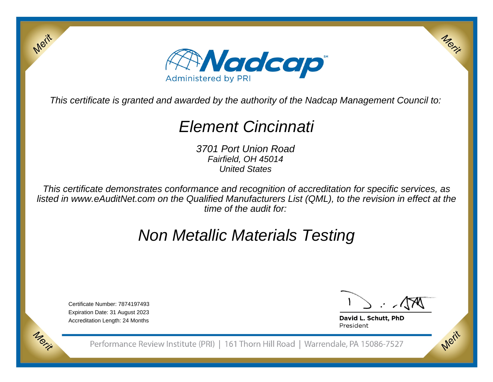

This certificate is granted and awarded by the authority of the Nadcap Management Council to:

# Element Cincinnati

3701 Port Union RoadFairfield, OH 45014United States

This certificate demonstrates conformance and recognition of accreditation for specific services, as listed in www.eAuditNet.com on the Qualified Manufacturers List (QML), to the revision in effect at thetime of the audit for:

# Non Metallic Materials Testing

Certificate Number: 7874197493 Expiration Date: 31 August 2023Accreditation Length: 24 Months

Merit

Morie

Merix

Merit

David L. Schutt, PhD President

Performance Review Institute (PRI) | 161 Thorn Hill Road | Warrendale, PA 15086-7527